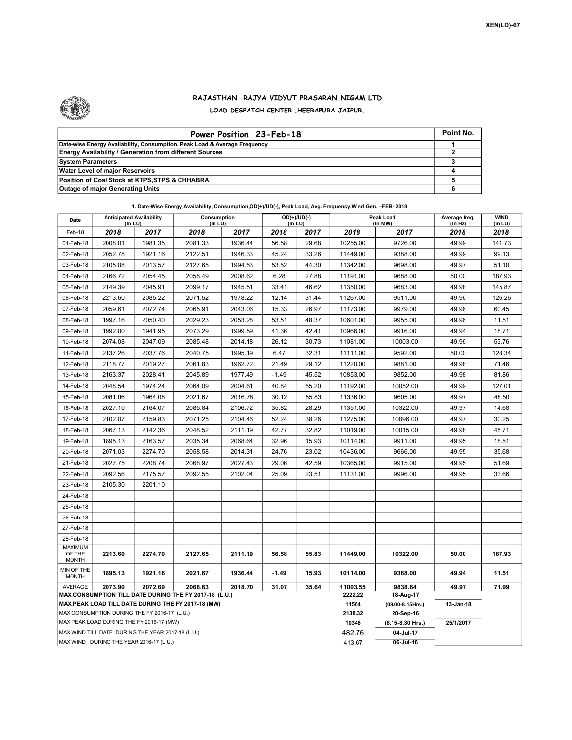

## RAJASTHAN RAJYA VIDYUT PRASARAN NIGAM LTD LOAD DESPATCH CENTER ,HEERAPURA JAIPUR.

| Power Position 23-Feb-18                                                  | Point No. |
|---------------------------------------------------------------------------|-----------|
| Date-wise Energy Availability, Consumption, Peak Load & Average Frequency |           |
| <b>Energy Availability / Generation from different Sources</b>            |           |
| <b>System Parameters</b>                                                  |           |
| <b>Water Level of major Reservoirs</b>                                    |           |
| Position of Coal Stock at KTPS, STPS & CHHABRA                            |           |
| <b>Outage of major Generating Units</b>                                   |           |

| Date                                                                                                         | <b>Anticipated Availability</b><br>(In LU) |         | Consumption<br>(In LU) |         | $OD(+)/UD(-)$<br>(In LU) |         | Peak Load<br>(In MW) |                                    | Average freq.<br>(ln Hz) | <b>WIND</b><br>(in LU) |
|--------------------------------------------------------------------------------------------------------------|--------------------------------------------|---------|------------------------|---------|--------------------------|---------|----------------------|------------------------------------|--------------------------|------------------------|
| Feb-18                                                                                                       | 2018                                       | 2017    | 2018                   | 2017    | 2018                     | 2017    | 2018                 | 2017                               | 2018                     | 2018                   |
| 01-Feb-18                                                                                                    | 2008.01                                    | 1981.35 | 2081.33                | 1936.44 | 56.58                    | 29.68   | 10255.00             | 9726.00                            | 49.99                    | 141.73                 |
| 02-Feb-18                                                                                                    | 2052.78                                    | 1921.16 | 2122.51                | 1946.33 | 45.24                    | 33.26   | 11449.00             | 9388.00                            | 49.99                    | 99.13                  |
| 03-Feb-18                                                                                                    | 2105.08                                    | 2013.57 | 2127.65                | 1994.53 | 53.52                    | 44.30   | 11342.00             | 9698.00                            | 49.97                    | 51.10                  |
| 04-Feb-18                                                                                                    | 2166.72                                    | 2054.45 | 2058.49                | 2008.62 | 6.28                     | 27.88   | 11191.00             | 9688.00                            | 50.00                    | 187.93                 |
| 05-Feb-18                                                                                                    | 2149.39                                    | 2045.91 | 2099.17                | 1945.51 | 33.41                    | 46.62   | 11350.00             | 9683.00                            | 49.98                    | 145.87                 |
| 06-Feb-18                                                                                                    | 2213.60                                    | 2085.22 | 2071.52                | 1978.22 | 12.14                    | 31.44   | 11267.00             | 9511.00                            | 49.96                    | 126.26                 |
| 07-Feb-18                                                                                                    | 2059.61                                    | 2072.74 | 2065.91                | 2043.06 | 15.33                    | 26.97   | 11173.00             | 9979.00                            | 49.96                    | 60.45                  |
| 08-Feb-18                                                                                                    | 1997.16                                    | 2050.40 | 2029.23                | 2053.28 | 53.51                    | 48.37   | 10601.00             | 9955.00                            | 49.96                    | 11.51                  |
| 09-Feb-18                                                                                                    | 1992.00                                    | 1941.95 | 2073.29                | 1999.59 | 41.36                    | 42.41   | 10966.00             | 9916.00                            | 49.94                    | 18.71                  |
| 10-Feb-18                                                                                                    | 2074.08                                    | 2047.09 | 2085.48                | 2014.18 | 26.12                    | 30.73   | 11081.00             | 10003.00                           | 49.96                    | 53.76                  |
| 11-Feb-18                                                                                                    | 2137.26                                    | 2037.76 | 2040.75                | 1995.19 | 6.47                     | 32.31   | 11111.00             | 9592.00                            | 50.00                    | 128.34                 |
| 12-Feb-18                                                                                                    | 2118.77                                    | 2019.27 | 2061.83                | 1962.72 | 21.49                    | 29.12   | 11220.00             | 9881.00                            | 49.98                    | 71.46                  |
| 13-Feb-18                                                                                                    | 2163.37                                    | 2028.41 | 2045.89                | 1977.49 | $-1.49$                  | 45.52   | 10853.00             | 9852.00                            | 49.98                    | 81.86                  |
| 14-Feb-18                                                                                                    | 2048.54                                    | 1974.24 | 2064.09                | 2004.61 | 40.84                    | 55.20   | 11192.00             | 10052.00                           | 49.99                    | 127.01                 |
| 15-Feb-18                                                                                                    | 2081.06                                    | 1964.08 | 2021.67                | 2016.78 | 30.12                    | 55.83   | 11336.00             | 9605.00                            | 49.97                    | 48.50                  |
| 16-Feb-18                                                                                                    | 2027.10                                    | 2164.07 | 2085.84                | 2106.72 | 35.82                    | 28.29   | 11351.00             | 10322.00                           | 49.97                    | 14.68                  |
| 17-Feb-18                                                                                                    | 2102.07                                    | 2159.83 | 2071.25                | 2104.46 | 52.24                    | 38.26   | 11275.00             | 10096.00                           | 49.97                    | 30.25                  |
| 18-Feb-18                                                                                                    | 2067.13                                    | 2142.36 | 2048.52                | 2111.19 | 42.77                    | 32.82   | 11019.00             | 10015.00                           | 49.98                    | 45.71                  |
| 19-Feb-18                                                                                                    | 1895.13                                    | 2163.57 | 2035.34                | 2068.64 | 32.96                    | 15.93   | 10114.00             | 9911.00                            | 49.95                    | 18.51                  |
| 20-Feb-18                                                                                                    | 2071.03                                    | 2274.70 | 2058.58                | 2014.31 | 24.76                    | 23.02   | 10436.00             | 9666.00                            | 49.95                    | 35.68                  |
| 21-Feb-18                                                                                                    | 2027.75                                    | 2208.74 | 2068.97                | 2027.43 | 29.06                    | 42.59   | 10365.00             | 9915.00                            | 49.95                    | 51.69                  |
| 22-Feb-18                                                                                                    | 2092.56                                    | 2175.57 | 2092.55                | 2102.04 | 25.09                    | 23.51   | 11131.00             | 9996.00                            | 49.95                    | 33.66                  |
| 23-Feb-18                                                                                                    | 2105.30                                    | 2201.10 |                        |         |                          |         |                      |                                    |                          |                        |
| 24-Feb-18                                                                                                    |                                            |         |                        |         |                          |         |                      |                                    |                          |                        |
| 25-Feb-18                                                                                                    |                                            |         |                        |         |                          |         |                      |                                    |                          |                        |
| 26-Feb-18                                                                                                    |                                            |         |                        |         |                          |         |                      |                                    |                          |                        |
| 27-Feb-18                                                                                                    |                                            |         |                        |         |                          |         |                      |                                    |                          |                        |
| 28-Feb-18                                                                                                    |                                            |         |                        |         |                          |         |                      |                                    |                          |                        |
| <b>MAXIMUM</b><br>OF THE<br><b>MONTH</b>                                                                     | 2213.60                                    | 2274.70 | 2127.65                | 2111.19 | 56.58                    | 55.83   | 11449.00             | 10322.00                           | 50.00                    | 187.93                 |
| MIN OF THE<br><b>MONTH</b>                                                                                   | 1895.13                                    | 1921.16 | 2021.67                | 1936.44 | $-1.49$                  | 15.93   | 10114.00             | 9388.00                            | 49.94                    | 11.51                  |
| AVERAGE                                                                                                      | 2073.90                                    | 2072.69 | 2068.63                | 2018.70 | 31.07                    | 35.64   | 11003.55             | 9838.64                            | 49.97                    | 71.99                  |
| MAX.CONSUMPTION TILL DATE DURING THE FY 2017-18 (L.U.)<br>MAX.PEAK LOAD TILL DATE DURING THE FY 2017-18 (MW) |                                            |         |                        |         |                          |         | 2222.22<br>11564     | 18-Aug-17<br>$(08.00 - 8.15$ Hrs.) | 13-Jan-18                |                        |
| MAX.CONSUMPTION DURING THE FY 2016-17 (L.U.)                                                                 |                                            |         |                        |         |                          | 2138.32 | 20-Sep-16            |                                    |                          |                        |
| MAX.PEAK LOAD DURING THE FY 2016-17 (MW)                                                                     |                                            |         |                        |         |                          |         | 10348                | (8.15-8.30 Hrs.)                   | 25/1/2017                |                        |
| MAX. WIND TILL DATE DURING THE YEAR 2017-18 (L.U.)                                                           |                                            |         |                        |         |                          |         | 482.76               | 04-Jul-17                          |                          |                        |
| MAX.WIND DURING THE YEAR 2016-17 (L.U.)                                                                      |                                            |         |                        |         |                          |         |                      | 06-Jul-16                          |                          |                        |

1. Date-Wise Energy Availability, Consumption,OD(+)/UD(-), Peak Load, Avg. Frequency,Wind Gen. –FEB- 2018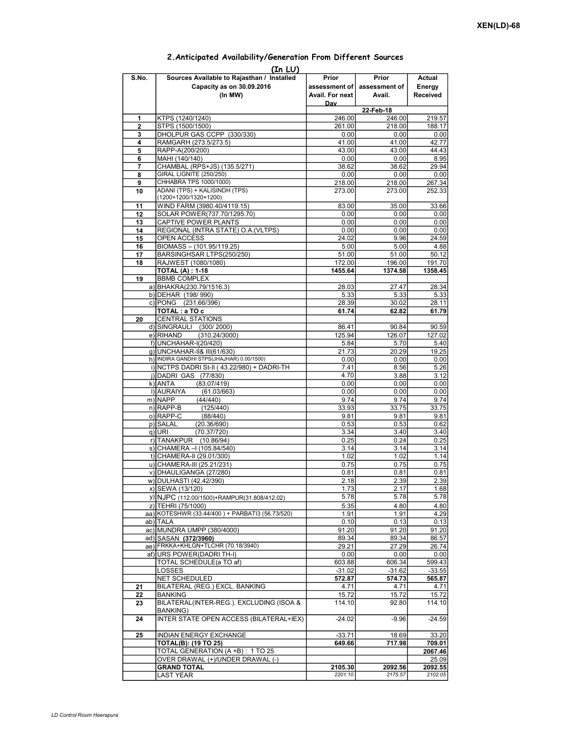| (In LU)  |                                                                                    |                                           |                                  |                              |  |  |  |  |  |  |
|----------|------------------------------------------------------------------------------------|-------------------------------------------|----------------------------------|------------------------------|--|--|--|--|--|--|
| S.No.    | Sources Available to Rajasthan / Installed<br>Capacity as on 30.09.2016<br>(In MW) | Prior<br>assessment of<br>Avail. For next | Prior<br>assessment of<br>Avail. | Actual<br>Energy<br>Received |  |  |  |  |  |  |
|          |                                                                                    | Day                                       | 22-Feb-18                        |                              |  |  |  |  |  |  |
| 1        | KTPS (1240/1240)                                                                   | 246.00                                    | 246.00                           | 219.57                       |  |  |  |  |  |  |
| 2        | STPS (1500/1500)                                                                   | 261.00                                    | 218.00                           | 188.17                       |  |  |  |  |  |  |
| 3        | DHOLPUR GAS CCPP (330/330)                                                         | 0.00                                      | 0.00                             | 0.00                         |  |  |  |  |  |  |
| 4        | RAMGARH (273.5/273.5)                                                              | 41.00                                     | 41.00                            | 42.77                        |  |  |  |  |  |  |
| 5        | RAPP-A(200/200)                                                                    | 43.00                                     | 43.00                            | 44.43                        |  |  |  |  |  |  |
| 6<br>7   | MAHI (140/140)<br>CHAMBAL (RPS+JS) (135.5/271)                                     | 0.00<br>38.62                             | 0.00<br>38.62                    | 8.95<br>29.94                |  |  |  |  |  |  |
| 8        | <b>GIRAL LIGNITE (250/250)</b>                                                     | 0.00                                      | 0.00                             | 0.00                         |  |  |  |  |  |  |
| 9        | CHHABRA TPS 1000/1000)                                                             | 218.00                                    | 218.00                           | 267.34                       |  |  |  |  |  |  |
| 10       | ADANI (TPS) + KALISINDH (TPS)<br>(1200+1200/1320+1200)                             | 273.00                                    | 273.00                           | 252.33                       |  |  |  |  |  |  |
| 11       | WIND FARM (3980.40/4119.15)                                                        | 83.00                                     | 35.00                            | 33.66                        |  |  |  |  |  |  |
| 12       | SOLAR POWER(737.70/1295.70)                                                        | 0.00                                      | 0.00                             | 0.00                         |  |  |  |  |  |  |
| 13       | CAPTIVE POWER PLANTS                                                               | 0.00                                      | 0.00                             | 0.00                         |  |  |  |  |  |  |
| 14<br>15 | REGIONAL (INTRA STATE) O.A. (VLTPS)<br>OPEN ACCESS                                 | 0.00<br>24.02                             | 0.00<br>9.96                     | 0.00<br>24.59                |  |  |  |  |  |  |
| 16       | BIOMASS - (101.95/119.25)                                                          | 5.00                                      | 5.00                             | 4.88                         |  |  |  |  |  |  |
| 17       | BARSINGHSAR LTPS(250/250)                                                          | 51.00                                     | 51.00                            | 50.12                        |  |  |  |  |  |  |
| 18       | RAJWEST (1080/1080)                                                                | 172.00                                    | 196.00                           | 191.70                       |  |  |  |  |  |  |
|          | <b>TOTAL (A): 1-18</b>                                                             | 1455.64                                   | 1374.58                          | 1358.45                      |  |  |  |  |  |  |
| 19       | <b>BBMB COMPLEX</b>                                                                |                                           |                                  |                              |  |  |  |  |  |  |
|          | a) BHAKRA(230.79/1516.3)                                                           | 28.03                                     | 27.47<br>5.33                    | 28.34<br>5.33                |  |  |  |  |  |  |
|          | b) DEHAR (198/990)<br>c) PONG (231.66/396)                                         | 5.33<br>28.39                             | 30.02                            | 28.11                        |  |  |  |  |  |  |
|          | TOTAL: a TO c                                                                      | 61.74                                     | 62.82                            | 61.79                        |  |  |  |  |  |  |
| 20       | <b>CENTRAL STATIONS</b>                                                            |                                           |                                  |                              |  |  |  |  |  |  |
|          | d) SINGRAULI (300/2000)                                                            | 86.41                                     | 90.84                            | 90.59                        |  |  |  |  |  |  |
|          | e) RIHAND<br>(310.24/3000)                                                         | 125.94                                    | 126.07                           | 127.02                       |  |  |  |  |  |  |
|          | f) UNCHAHAR-I(20/420)                                                              | 5.84                                      | 5.70                             | 5.40                         |  |  |  |  |  |  |
|          | q) UNCHAHAR-II& III(61/630)<br>h) INDIRA GANDHI STPS(JHAJHAR) 0.00/1500)           | 21.73<br>0.00                             | 20.29<br>0.00                    | 19.25<br>0.00                |  |  |  |  |  |  |
|          | i) NCTPS DADRI St-II (43.22/980) + DADRI-TH                                        | 7.41                                      | 8.56                             | 5.26                         |  |  |  |  |  |  |
|          | j) DADRI GAS (77/830)                                                              | 4.70                                      | 3.88                             | 3.12                         |  |  |  |  |  |  |
|          | k) ANTA<br>(83.07/419)                                                             | 0.00                                      | 0.00                             | 0.00                         |  |  |  |  |  |  |
|          | I) AURAIYA<br>(61.03/663)                                                          | 0.00                                      | 0.00                             | 0.00                         |  |  |  |  |  |  |
|          | m) NAPP<br>(44/440)                                                                | 9.74                                      | 9.74                             | 9.74                         |  |  |  |  |  |  |
|          | $n)$ RAPP-B<br>(125/440)<br>o) RAPP-C<br>(88/440)                                  | 33.93<br>9.81                             | 33.75<br>9.81                    | 33.75<br>9.81                |  |  |  |  |  |  |
|          | p) SALAL<br>(20.36/690)                                                            | 0.53                                      | 0.53                             | 0.62                         |  |  |  |  |  |  |
|          | (70.37/720)<br>q) URI                                                              | 3.34                                      | 3.40                             | 3.40                         |  |  |  |  |  |  |
|          | r) TANAKPUR<br>(10.86/94)                                                          | 0.25                                      | 0.24                             | 0.25                         |  |  |  |  |  |  |
|          | s) CHAMERA - (105.84/540)                                                          | 3.14                                      | 3.14                             | 3.14                         |  |  |  |  |  |  |
|          | t) CHAMERA-II (29.01/300)                                                          | 1.02                                      | 1.02                             | 1.14                         |  |  |  |  |  |  |
|          | u) CHAMERA-III (25.21/231)                                                         | 0.75                                      | 0.75                             | 0.75                         |  |  |  |  |  |  |
|          | v) DHAULIGANGA (27/280)<br>w) DULHASTI (42.42/390)                                 | 0.81<br>2.18                              | 0.81<br>2.39                     | 0.81<br>2.39                 |  |  |  |  |  |  |
|          | x) SEWA (13/120)                                                                   | 1.73                                      | 2.17                             | 1.68                         |  |  |  |  |  |  |
|          | y) NJPC (112.00/1500) + RAMPUR(31.808/412.02)                                      | 5.78                                      | 5.78                             | 5.78                         |  |  |  |  |  |  |
|          | z) TEHRI (75/1000)                                                                 | 5.35                                      | 4.80                             | 4.80                         |  |  |  |  |  |  |
|          | aa) KOTESHWR (33.44/400) + PARBATI3 (56.73/520)                                    | 1.91                                      | 1.91                             | 4.29                         |  |  |  |  |  |  |
|          | ab) TALA                                                                           | 0.10                                      | 0.13                             | 0.13                         |  |  |  |  |  |  |
|          | ac) MUNDRA UMPP (380/4000)                                                         | 91.20<br>89.34                            | 91.20                            | 91.20                        |  |  |  |  |  |  |
|          | ad) SASAN (372/3960)<br>ae) FRKKA+KHLGN+TLCHR (70.18/3940)                         | 29.21                                     | 89.34<br>27.29                   | 86.57<br>26.74               |  |  |  |  |  |  |
|          | af) URS POWER(DADRI TH-I)                                                          | 0.00                                      | 0.00                             | 0.00                         |  |  |  |  |  |  |
|          | TOTAL SCHEDULE(a TO af)                                                            | 603.88                                    | 606.34                           | 599.43                       |  |  |  |  |  |  |
|          | <b>LOSSES</b>                                                                      | $-31.02$                                  | $-31.62$                         | $-33.55$                     |  |  |  |  |  |  |
|          | <b>NET SCHEDULED</b>                                                               | 572.87                                    | 574.73                           | 565.87                       |  |  |  |  |  |  |
| 21       | BILATERAL (REG.) EXCL. BANKING                                                     | 4.71                                      | 4.71                             | 4.71<br>15.72                |  |  |  |  |  |  |
| 22<br>23 | <b>BANKING</b><br>BILATERAL(INTER-REG.). EXCLUDING (ISOA &<br><b>BANKING)</b>      | 15.72<br>114.10                           | 15.72<br>92.80                   | 114.10                       |  |  |  |  |  |  |
| 24       | INTER STATE OPEN ACCESS (BILATERAL+IEX)                                            | $-24.02$                                  | $-9.96$                          | $-24.59$                     |  |  |  |  |  |  |
| 25       | <b>INDIAN ENERGY EXCHANGE</b>                                                      | $-33.71$                                  | 18.69                            | 33.20                        |  |  |  |  |  |  |
|          | <b>TOTAL(B): (19 TO 25)</b>                                                        | 649.66                                    | 717.98                           | 709.01                       |  |  |  |  |  |  |
|          | TOTAL GENERATION (A +B): 1 TO 25                                                   |                                           |                                  | 2067.46                      |  |  |  |  |  |  |
|          | OVER DRAWAL (+)/UNDER DRAWAL (-)                                                   |                                           |                                  | 25.09                        |  |  |  |  |  |  |
|          | <b>GRAND TOTAL</b>                                                                 | 2105.30                                   | 2092.56                          | 2092.55                      |  |  |  |  |  |  |
|          | <b>LAST YEAR</b>                                                                   | 2201.10                                   | 2175.57                          | 2102.05                      |  |  |  |  |  |  |

## 2.Anticipated Availability/Generation From Different Sources